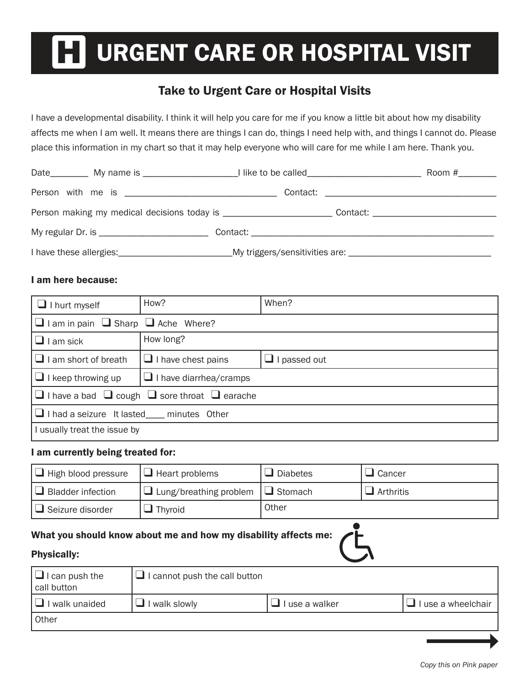# URGENT CARE OR HOSPITAL VISIT

## Take to Urgent Care or Hospital Visits

I have a developmental disability. I think it will help you care for me if you know a little bit about how my disability affects me when I am well. It means there are things I can do, things I need help with, and things I cannot do. Please place this information in my chart so that it may help everyone who will care for me while I am here. Thank you.

#### I am here because:

| $\Box$ I hurt myself                                               | How?                                                | When?               |  |  |  |
|--------------------------------------------------------------------|-----------------------------------------------------|---------------------|--|--|--|
|                                                                    | $\Box$ I am in pain $\Box$ Sharp $\Box$ Ache Where? |                     |  |  |  |
| $\Box$ I am sick                                                   | How long?                                           |                     |  |  |  |
| $\Box$ I am short of breath                                        | $\Box$ I have chest pains                           | $\Box$ I passed out |  |  |  |
| $\Box$ I keep throwing up                                          | $\Box$ I have diarrhea/cramps                       |                     |  |  |  |
| $\Box$ I have a bad $\Box$ cough $\Box$ sore throat $\Box$ earache |                                                     |                     |  |  |  |
| $\Box$ I had a seizure It lasted ____ minutes Other                |                                                     |                     |  |  |  |
| I usually treat the issue by                                       |                                                     |                     |  |  |  |

#### I am currently being treated for:

| $\Box$ High blood pressure | $\Box$ Heart problems                        | $\Box$ Diabetes | $\Box$ Cancer    |
|----------------------------|----------------------------------------------|-----------------|------------------|
| $\Box$ Bladder infection   | $\Box$ Lung/breathing problem $\Box$ Stomach |                 | $\Box$ Arthritis |
| $\Box$ Seizure disorder    | Thyroid                                      | Other           |                  |

#### What you should know about me and how my disability affects me:

#### Physically:

| $\Box$ I can push the<br>call button | $\Box$ I cannot push the call button |                |                    |
|--------------------------------------|--------------------------------------|----------------|--------------------|
| $\Box$ I walk unaided                | I walk slowly                        | l use a walker | I use a wheelchair |
| Other                                |                                      |                |                    |